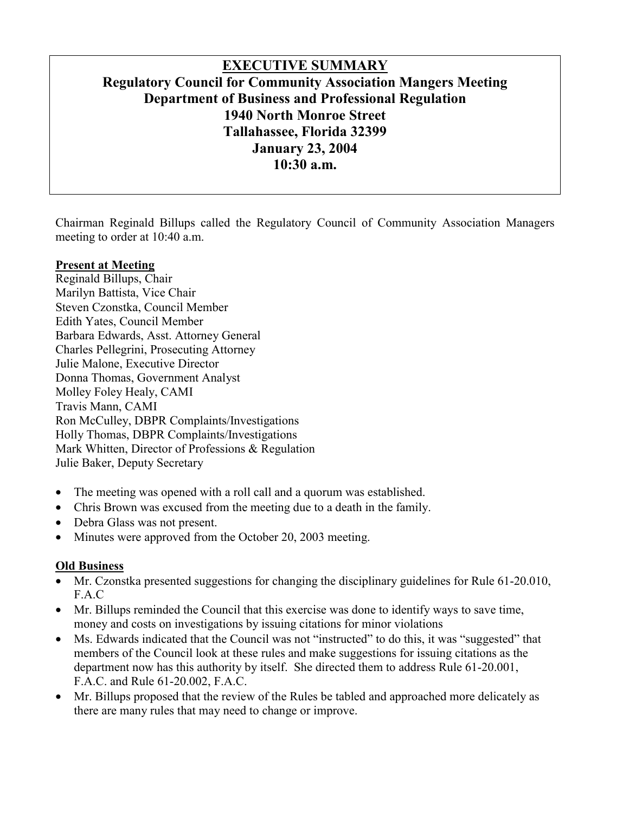# **EXECUTIVE SUMMARY Regulatory Council for Community Association Mangers Meeting Department of Business and Professional Regulation 1940 North Monroe Street Tallahassee, Florida 32399 January 23, 2004 10:30 a.m.**

Chairman Reginald Billups called the Regulatory Council of Community Association Managers meeting to order at 10:40 a.m.

#### **Present at Meeting**

Reginald Billups, Chair Marilyn Battista, Vice Chair Steven Czonstka, Council Member Edith Yates, Council Member Barbara Edwards, Asst. Attorney General Charles Pellegrini, Prosecuting Attorney Julie Malone, Executive Director Donna Thomas, Government Analyst Molley Foley Healy, CAMI Travis Mann, CAMI Ron McCulley, DBPR Complaints/Investigations Holly Thomas, DBPR Complaints/Investigations Mark Whitten, Director of Professions & Regulation Julie Baker, Deputy Secretary

- The meeting was opened with a roll call and a quorum was established.
- Chris Brown was excused from the meeting due to a death in the family.
- Debra Glass was not present.
- Minutes were approved from the October 20, 2003 meeting.

#### **Old Business**

- Mr. Czonstka presented suggestions for changing the disciplinary guidelines for Rule 61-20.010, F.A.C
- Mr. Billups reminded the Council that this exercise was done to identify ways to save time, money and costs on investigations by issuing citations for minor violations
- Ms. Edwards indicated that the Council was not "instructed" to do this, it was "suggested" that members of the Council look at these rules and make suggestions for issuing citations as the department now has this authority by itself. She directed them to address Rule 61-20.001, F.A.C. and Rule 61-20.002, F.A.C.
- Mr. Billups proposed that the review of the Rules be tabled and approached more delicately as there are many rules that may need to change or improve.